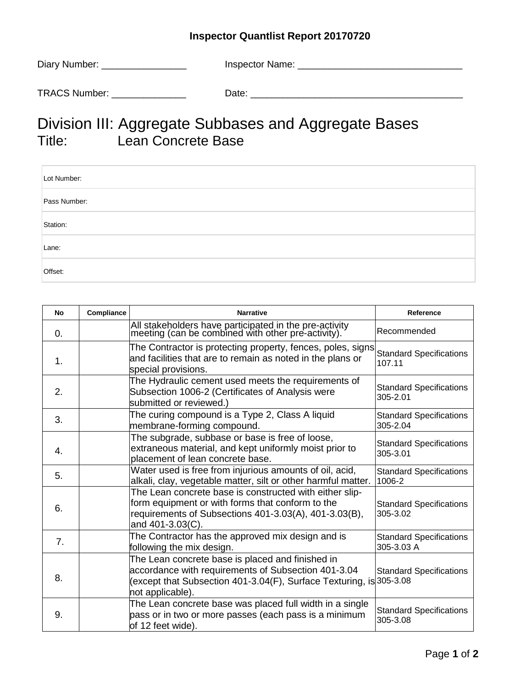## **Inspector Quantlist Report 20170720**

| Diary Number: | Inspector Name: |
|---------------|-----------------|
| TRACS Number: | Date:           |

## Division III: Aggregate Subbases and Aggregate Bases Lean Concrete Base

| Lot Number:  |  |
|--------------|--|
| Pass Number: |  |
| Station:     |  |
| Lane:        |  |
| Offset:      |  |

| No             | Compliance | <b>Narrative</b>                                                                                                                                                                                   | Reference                                    |
|----------------|------------|----------------------------------------------------------------------------------------------------------------------------------------------------------------------------------------------------|----------------------------------------------|
| $\mathbf{0}$ . |            | All stakeholders have participated in the pre-activity<br>meeting (can be combined with other pre-activity).                                                                                       | Recommended                                  |
| 1.             |            | The Contractor is protecting property, fences, poles, signs<br>and facilities that are to remain as noted in the plans or<br>special provisions.                                                   | <b>Standard Specifications</b><br>107.11     |
| 2.             |            | The Hydraulic cement used meets the requirements of<br>Subsection 1006-2 (Certificates of Analysis were<br>submitted or reviewed.)                                                                 | <b>Standard Specifications</b><br>305-2.01   |
| 3.             |            | The curing compound is a Type 2, Class A liquid<br>membrane-forming compound.                                                                                                                      | <b>Standard Specifications</b><br>305-2.04   |
| 4.             |            | The subgrade, subbase or base is free of loose,<br>extraneous material, and kept uniformly moist prior to<br>placement of lean concrete base.                                                      | <b>Standard Specifications</b><br>305-3.01   |
| 5.             |            | Water used is free from injurious amounts of oil, acid,<br>alkali, clay, vegetable matter, silt or other harmful matter.                                                                           | <b>Standard Specifications</b><br>1006-2     |
| 6.             |            | The Lean concrete base is constructed with either slip-<br>form equipment or with forms that conform to the<br>requirements of Subsections 401-3.03(A), 401-3.03(B),<br>and 401-3.03(C).           | <b>Standard Specifications</b><br>305-3.02   |
| 7.             |            | The Contractor has the approved mix design and is<br>following the mix design.                                                                                                                     | <b>Standard Specifications</b><br>305-3.03 A |
| 8.             |            | The Lean concrete base is placed and finished in<br>accordance with requirements of Subsection 401-3.04<br>(except that Subsection 401-3.04(F), Surface Texturing, is 305-3.08<br>not applicable). | <b>Standard Specifications</b>               |
| 9.             |            | The Lean concrete base was placed full width in a single<br>pass or in two or more passes (each pass is a minimum<br>of 12 feet wide).                                                             | <b>Standard Specifications</b><br>305-3.08   |